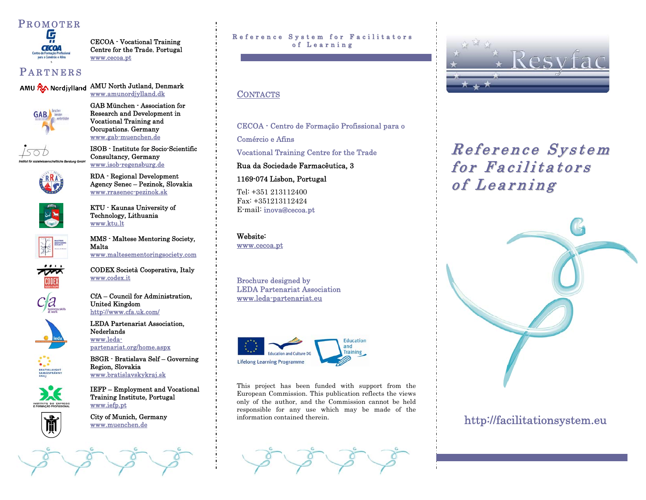# P ROMOTER



CECOA - Vocational Training Centre for the Trade, Portugal www.cecoa.pt

# **PARTNERS**

AMU RA Nordjylland AMU North Jutland, Denmark



 $150D$ 

www.amunordjylland.dk<br>GAB München - Association for Research and Development in

Vocational Training and Occupations, Germany www.gab-muenchen.de ISOB - Institute for Socio-Scientific

Consultancy, Germany www.isob-regensburg.de RDA - Regional Development

Agency Senec – Pezinok, Slovakia www.rrasenec-pezinok.sk KTU - Kaunas University of



Technology, Lithuania

www.ktu.lt MMS - Maltese Mentoring Society, Malta



INSTITUTO DO EMPREO

www.maltesementoringsociety.com CODEX Società Cooperativa, Italy  $\frac{\text{www.coder.it}}{\text{CfA} - \text{Countcil}}$  for Administration,

United Kingdom<br>http://www.cfa.uk.com/

**LEDA Partenariat Association,** Nederlands www.leda-

partenariat.org/home.aspx BSGR - Bratislava Self – Governing Region, Slovakia

www.bratislavskykraj.sk IEFP – Employment and Vocational Training Institute, Portugal www.iefp.pt<br>City of Munich, Germany

www.muenchen.de

#### Reference System for Facilitators of Learning

# **CONTACTS**

CECOA - Centro de Formação Profissional para o Comércio e Afins Vocational Training Centre for the Trade Rua da Sociedade Farmacêutica, 3

1169-074 Lisbon, Portugal

Tel: +351 213112400 Fax: +351213112424 E-mail: inova@cecoa.pt

Website:www.cecoa.pt

Brochure designed by LEDA Partenariat Association www.leda-partenariat.eu



This project has been funded with support from the European Commission. This publication reflects the views only of the author, and the Commission cannot be held responsible for any use which may be made of the information contained therein.



# $\emph{Reference System}$ for Facilitators of Learning



# http://facilitationsystem.eu